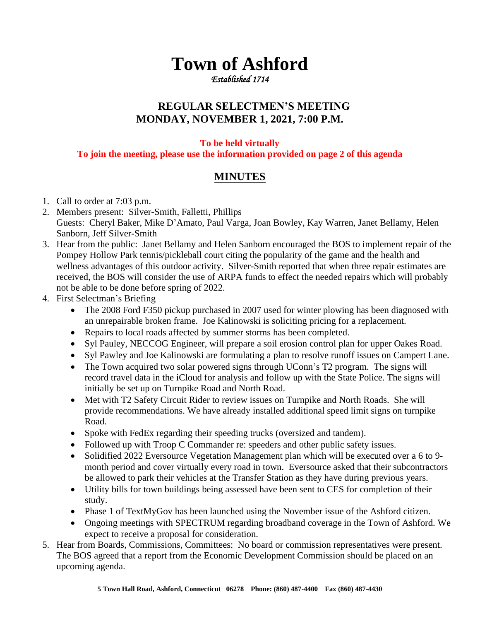## **Town of Ashford**

*Established 1714* 

## **REGULAR SELECTMEN'S MEETING MONDAY, NOVEMBER 1, 2021, 7:00 P.M.**

## **To be held virtually**

**To join the meeting, please use the information provided on page 2 of this agenda**

## **MINUTES**

- 1. Call to order at 7:03 p.m.
- 2. Members present: Silver-Smith, Falletti, Phillips Guests: Cheryl Baker, Mike D'Amato, Paul Varga, Joan Bowley, Kay Warren, Janet Bellamy, Helen Sanborn, Jeff Silver-Smith
- 3. Hear from the public: Janet Bellamy and Helen Sanborn encouraged the BOS to implement repair of the Pompey Hollow Park tennis/pickleball court citing the popularity of the game and the health and wellness advantages of this outdoor activity. Silver-Smith reported that when three repair estimates are received, the BOS will consider the use of ARPA funds to effect the needed repairs which will probably not be able to be done before spring of 2022.
- 4. First Selectman's Briefing
	- The 2008 Ford F350 pickup purchased in 2007 used for winter plowing has been diagnosed with an unrepairable broken frame. Joe Kalinowski is soliciting pricing for a replacement.
	- Repairs to local roads affected by summer storms has been completed.
	- Syl Pauley, NECCOG Engineer, will prepare a soil erosion control plan for upper Oakes Road.
	- Syl Pawley and Joe Kalinowski are formulating a plan to resolve runoff issues on Campert Lane.
	- The Town acquired two solar powered signs through UConn's T2 program. The signs will record travel data in the iCloud for analysis and follow up with the State Police. The signs will initially be set up on Turnpike Road and North Road.
	- Met with T2 Safety Circuit Rider to review issues on Turnpike and North Roads. She will provide recommendations. We have already installed additional speed limit signs on turnpike Road.
	- Spoke with FedEx regarding their speeding trucks (oversized and tandem).
	- Followed up with Troop C Commander re: speeders and other public safety issues.
	- Solidified 2022 Eversource Vegetation Management plan which will be executed over a 6 to 9month period and cover virtually every road in town. Eversource asked that their subcontractors be allowed to park their vehicles at the Transfer Station as they have during previous years.
	- Utility bills for town buildings being assessed have been sent to CES for completion of their study.
	- Phase 1 of TextMyGov has been launched using the November issue of the Ashford citizen.
	- Ongoing meetings with SPECTRUM regarding broadband coverage in the Town of Ashford. We expect to receive a proposal for consideration.
- 5. Hear from Boards, Commissions, Committees: No board or commission representatives were present. The BOS agreed that a report from the Economic Development Commission should be placed on an upcoming agenda.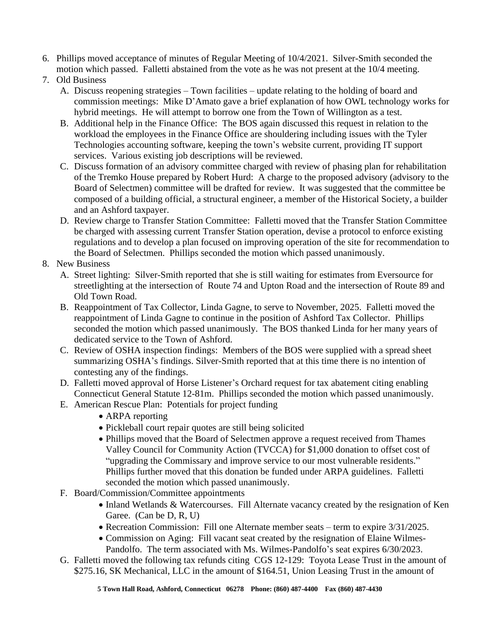- 6. Phillips moved acceptance of minutes of Regular Meeting of 10/4/2021. Silver-Smith seconded the motion which passed. Falletti abstained from the vote as he was not present at the 10/4 meeting.
- 7. Old Business
	- A. Discuss reopening strategies Town facilities update relating to the holding of board and commission meetings: Mike D'Amato gave a brief explanation of how OWL technology works for hybrid meetings. He will attempt to borrow one from the Town of Willington as a test.
	- B. Additional help in the Finance Office: The BOS again discussed this request in relation to the workload the employees in the Finance Office are shouldering including issues with the Tyler Technologies accounting software, keeping the town's website current, providing IT support services. Various existing job descriptions will be reviewed.
	- C. Discuss formation of an advisory committee charged with review of phasing plan for rehabilitation of the Tremko House prepared by Robert Hurd: A charge to the proposed advisory (advisory to the Board of Selectmen) committee will be drafted for review. It was suggested that the committee be composed of a building official, a structural engineer, a member of the Historical Society, a builder and an Ashford taxpayer.
	- D. Review charge to Transfer Station Committee: Falletti moved that the Transfer Station Committee be charged with assessing current Transfer Station operation, devise a protocol to enforce existing regulations and to develop a plan focused on improving operation of the site for recommendation to the Board of Selectmen. Phillips seconded the motion which passed unanimously.
- 8. New Business
	- A. Street lighting: Silver-Smith reported that she is still waiting for estimates from Eversource for streetlighting at the intersection of Route 74 and Upton Road and the intersection of Route 89 and Old Town Road.
	- B. Reappointment of Tax Collector, Linda Gagne, to serve to November, 2025. Falletti moved the reappointment of Linda Gagne to continue in the position of Ashford Tax Collector. Phillips seconded the motion which passed unanimously. The BOS thanked Linda for her many years of dedicated service to the Town of Ashford.
	- C. Review of OSHA inspection findings: Members of the BOS were supplied with a spread sheet summarizing OSHA's findings. Silver-Smith reported that at this time there is no intention of contesting any of the findings.
	- D. Falletti moved approval of Horse Listener's Orchard request for tax abatement citing enabling Connecticut General Statute 12-81m. Phillips seconded the motion which passed unanimously.
	- E. American Rescue Plan: Potentials for project funding
		- ARPA reporting
		- Pickleball court repair quotes are still being solicited
		- Phillips moved that the Board of Selectmen approve a request received from Thames Valley Council for Community Action (TVCCA) for \$1,000 donation to offset cost of "upgrading the Commissary and improve service to our most vulnerable residents." Phillips further moved that this donation be funded under ARPA guidelines. Falletti seconded the motion which passed unanimously.
	- F. Board/Commission/Committee appointments
		- Inland Wetlands & Watercourses. Fill Alternate vacancy created by the resignation of Ken Garee. (Can be D, R, U)
		- Recreation Commission: Fill one Alternate member seats term to expire  $3/31/2025$ .
		- Commission on Aging: Fill vacant seat created by the resignation of Elaine Wilmes-Pandolfo. The term associated with Ms. Wilmes-Pandolfo's seat expires 6/30/2023.
	- G. Falletti moved the following tax refunds citing CGS 12-129: Toyota Lease Trust in the amount of \$275.16, SK Mechanical, LLC in the amount of \$164.51, Union Leasing Trust in the amount of